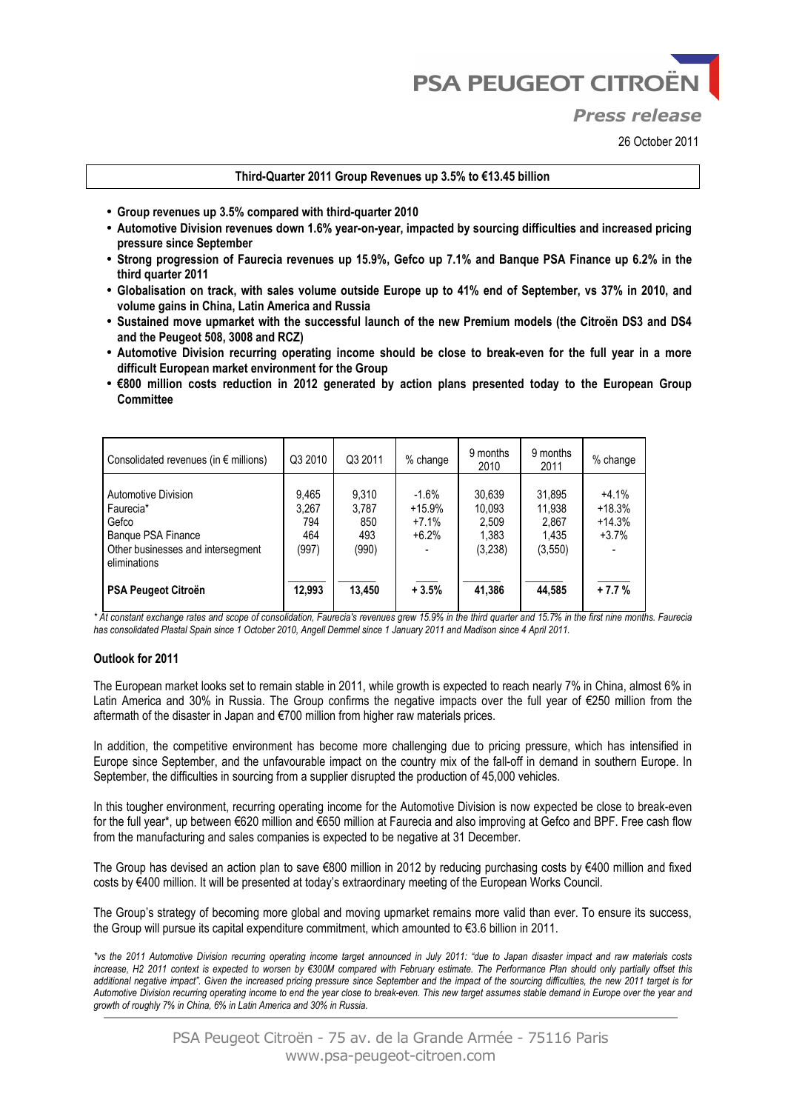**PSA PEUGEOT CITROËN** 

# *Press release*

26 October 2011

#### **Third-Quarter 2011 Group Revenues up 3.5% to €13.45 billion**

- **Group revenues up 3.5% compared with third-quarter 2010**
- **Automotive Division revenues down 1.6% year-on-year, impacted by sourcing difficulties and increased pricing pressure since September**
- **Strong progression of Faurecia revenues up 15.9%, Gefco up 7.1% and Banque PSA Finance up 6.2% in the third quarter 2011**
- **Globalisation on track, with sales volume outside Europe up to 41% end of September, vs 37% in 2010, and volume gains in China, Latin America and Russia**
- **Sustained move upmarket with the successful launch of the new Premium models (the Citroën DS3 and DS4 and the Peugeot 508, 3008 and RCZ)**
- **Automotive Division recurring operating income should be close to break-even for the full year in a more difficult European market environment for the Group**
- **€800 million costs reduction in 2012 generated by action plans presented today to the European Group Committee**

| Consolidated revenues (in $\epsilon$ millions)                                                                       | Q3 2010                               | Q3 2011                               | % change                                  | 9 months<br>2010                              | 9 months<br>2011                               | % change                                   |
|----------------------------------------------------------------------------------------------------------------------|---------------------------------------|---------------------------------------|-------------------------------------------|-----------------------------------------------|------------------------------------------------|--------------------------------------------|
| Automotive Division<br>Faurecia*<br>Gefco<br>Banque PSA Finance<br>Other businesses and intersegment<br>eliminations | 9,465<br>3,267<br>794<br>464<br>(997) | 9,310<br>3,787<br>850<br>493<br>(990) | $-1.6%$<br>$+15.9%$<br>$+7.1%$<br>$+6.2%$ | 30,639<br>10.093<br>2,509<br>1,383<br>(3,238) | 31,895<br>11,938<br>2,867<br>1,435<br>(3, 550) | $+4.1%$<br>$+18.3%$<br>$+14.3%$<br>$+3.7%$ |
| PSA Peugeot Citroën                                                                                                  | 12,993                                | 13.450                                | $+3.5%$                                   | 41.386                                        | 44,585                                         | $+7.7%$                                    |

*\* At constant exchange rates and scope of consolidation, Faurecia's revenues grew 15.9% in the third quarter and 15.7% in the first nine months. Faurecia has consolidated Plastal Spain since 1 October 2010, Angell Demmel since 1 January 2011 and Madison since 4 April 2011.* 

#### **Outlook for 2011**

The European market looks set to remain stable in 2011, while growth is expected to reach nearly 7% in China, almost 6% in Latin America and 30% in Russia. The Group confirms the negative impacts over the full year of €250 million from the aftermath of the disaster in Japan and €700 million from higher raw materials prices.

In addition, the competitive environment has become more challenging due to pricing pressure, which has intensified in Europe since September, and the unfavourable impact on the country mix of the fall-off in demand in southern Europe. In September, the difficulties in sourcing from a supplier disrupted the production of 45,000 vehicles.

In this tougher environment, recurring operating income for the Automotive Division is now expected be close to break-even for the full year\*, up between €620 million and €650 million at Faurecia and also improving at Gefco and BPF. Free cash flow from the manufacturing and sales companies is expected to be negative at 31 December.

The Group has devised an action plan to save €800 million in 2012 by reducing purchasing costs by €400 million and fixed costs by €400 million. It will be presented at today's extraordinary meeting of the European Works Council.

The Group's strategy of becoming more global and moving upmarket remains more valid than ever. To ensure its success, the Group will pursue its capital expenditure commitment, which amounted to €3.6 billion in 2011.

*\*vs the 2011 Automotive Division recurring operating income target announced in July 2011: "due to Japan disaster impact and raw materials costs increase, H2 2011 context is expected to worsen by €300M compared with February estimate. The Performance Plan should only partially offset this additional negative impact". Given the increased pricing pressure since September and the impact of the sourcing difficulties, the new 2011 target is for Automotive Division recurring operating income to end the year close to break-even. This new target assumes stable demand in Europe over the year and growth of roughly 7% in China, 6% in Latin America and 30% in Russia.*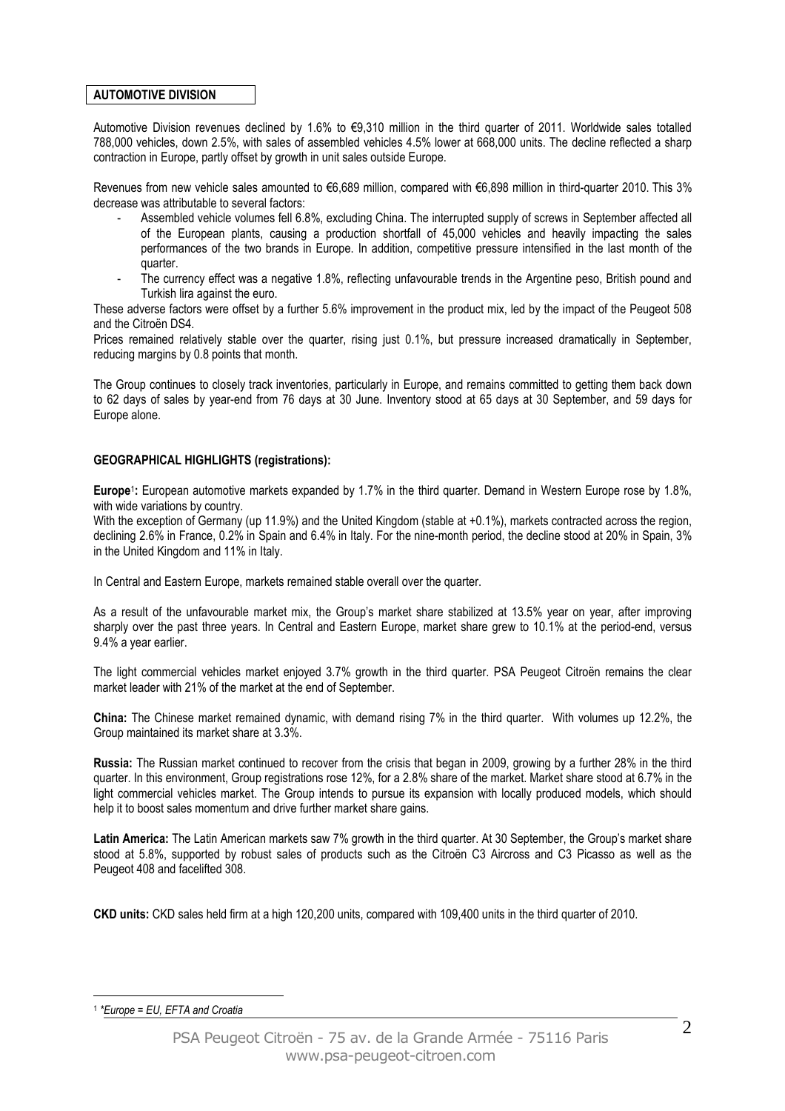## **AUTOMOTIVE DIVISION**

Automotive Division revenues declined by 1.6% to €9,310 million in the third quarter of 2011. Worldwide sales totalled 788,000 vehicles, down 2.5%, with sales of assembled vehicles 4.5% lower at 668,000 units. The decline reflected a sharp contraction in Europe, partly offset by growth in unit sales outside Europe.

Revenues from new vehicle sales amounted to €6,689 million, compared with €6,898 million in third-quarter 2010. This 3% decrease was attributable to several factors:

- Assembled vehicle volumes fell 6.8%, excluding China. The interrupted supply of screws in September affected all of the European plants, causing a production shortfall of 45,000 vehicles and heavily impacting the sales performances of the two brands in Europe. In addition, competitive pressure intensified in the last month of the quarter.
- The currency effect was a negative 1.8%, reflecting unfavourable trends in the Argentine peso, British pound and Turkish lira against the euro.

These adverse factors were offset by a further 5.6% improvement in the product mix, led by the impact of the Peugeot 508 and the Citroën DS4.

Prices remained relatively stable over the quarter, rising just 0.1%, but pressure increased dramatically in September, reducing margins by 0.8 points that month.

The Group continues to closely track inventories, particularly in Europe, and remains committed to getting them back down to 62 days of sales by year-end from 76 days at 30 June. Inventory stood at 65 days at 30 September, and 59 days for Europe alone.

#### **GEOGRAPHICAL HIGHLIGHTS (registrations):**

**Europe**<sup>1</sup> **:** European automotive markets expanded by 1.7% in the third quarter. Demand in Western Europe rose by 1.8%, with wide variations by country.

With the exception of Germany (up 11.9%) and the United Kingdom (stable at +0.1%), markets contracted across the region, declining 2.6% in France, 0.2% in Spain and 6.4% in Italy. For the nine-month period, the decline stood at 20% in Spain, 3% in the United Kingdom and 11% in Italy.

In Central and Eastern Europe, markets remained stable overall over the quarter.

As a result of the unfavourable market mix, the Group's market share stabilized at 13.5% year on year, after improving sharply over the past three years. In Central and Eastern Europe, market share grew to 10.1% at the period-end, versus 9.4% a year earlier.

The light commercial vehicles market enjoyed 3.7% growth in the third quarter. PSA Peugeot Citroën remains the clear market leader with 21% of the market at the end of September.

**China:** The Chinese market remained dynamic, with demand rising 7% in the third quarter. With volumes up 12.2%, the Group maintained its market share at 3.3%.

**Russia:** The Russian market continued to recover from the crisis that began in 2009, growing by a further 28% in the third quarter. In this environment, Group registrations rose 12%, for a 2.8% share of the market. Market share stood at 6.7% in the light commercial vehicles market. The Group intends to pursue its expansion with locally produced models, which should help it to boost sales momentum and drive further market share gains.

**Latin America:** The Latin American markets saw 7% growth in the third quarter. At 30 September, the Group's market share stood at 5.8%, supported by robust sales of products such as the Citroën C3 Aircross and C3 Picasso as well as the Peugeot 408 and facelifted 308.

**CKD units:** CKD sales held firm at a high 120,200 units, compared with 109,400 units in the third quarter of 2010.

#### 1 *\*Europe = EU, EFTA and Croatia*

 $\overline{a}$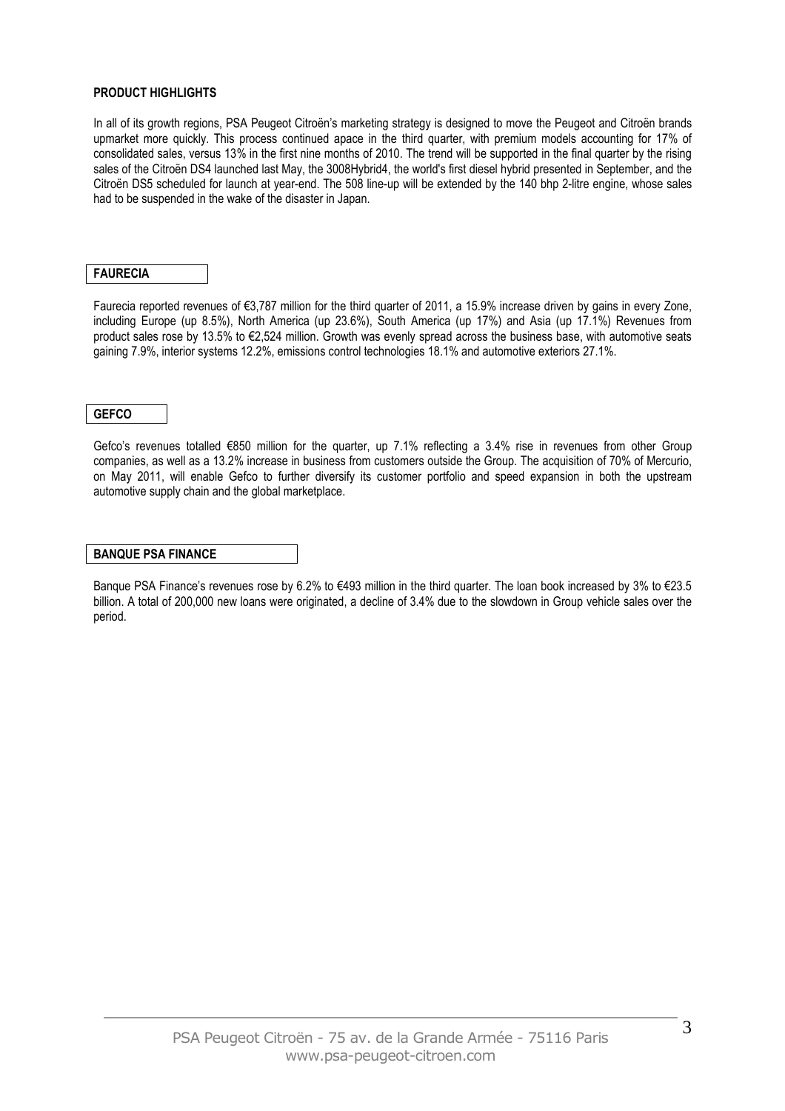## **PRODUCT HIGHLIGHTS**

In all of its growth regions, PSA Peugeot Citroën's marketing strategy is designed to move the Peugeot and Citroën brands upmarket more quickly. This process continued apace in the third quarter, with premium models accounting for 17% of consolidated sales, versus 13% in the first nine months of 2010. The trend will be supported in the final quarter by the rising sales of the Citroën DS4 launched last May, the 3008Hybrid4, the world's first diesel hybrid presented in September, and the Citroën DS5 scheduled for launch at year-end. The 508 line-up will be extended by the 140 bhp 2-litre engine, whose sales had to be suspended in the wake of the disaster in Japan.

### **FAURECIA**

Faurecia reported revenues of €3,787 million for the third quarter of 2011, a 15.9% increase driven by gains in every Zone, including Europe (up 8.5%), North America (up 23.6%), South America (up 17%) and Asia (up 17.1%) Revenues from product sales rose by 13.5% to €2,524 million. Growth was evenly spread across the business base, with automotive seats gaining 7.9%, interior systems 12.2%, emissions control technologies 18.1% and automotive exteriors 27.1%.

## **GEFCO**

Gefco's revenues totalled €850 million for the quarter, up 7.1% reflecting a 3.4% rise in revenues from other Group companies, as well as a 13.2% increase in business from customers outside the Group. The acquisition of 70% of Mercurio, on May 2011, will enable Gefco to further diversify its customer portfolio and speed expansion in both the upstream automotive supply chain and the global marketplace.

#### **BANQUE PSA FINANCE**

Banque PSA Finance's revenues rose by 6.2% to €493 million in the third quarter. The loan book increased by 3% to €23.5 billion. A total of 200,000 new loans were originated, a decline of 3.4% due to the slowdown in Group vehicle sales over the period.